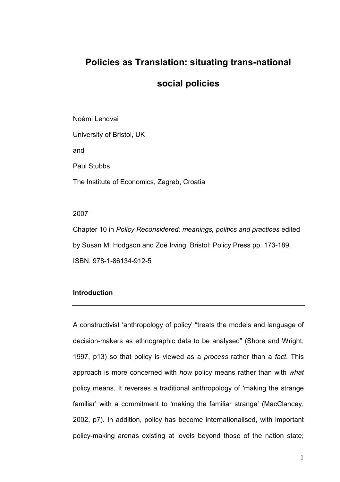## Policies as Translation: situating trans-national

## social policies

Noémi Lendvai University of Bristol, UK and Paul Stubbs The Institute of Economics, Zagreb, Croatia

#### 2007

Chapter 10 in Policy Reconsidered: meanings, politics and practices edited by Susan M. Hodgson and Zoë Irving. Bristol: Policy Press pp. 173-189. ISBN: 978-1-86134-912-5

## **Introduction**

A constructivist 'anthropology of policy' "treats the models and language of decision-makers as ethnographic data to be analysed" (Shore and Wright, 1997, p13) so that policy is viewed as a *process* rather than a *fact*. This approach is more concerned with how policy means rather than with what policy means. It reverses a traditional anthropology of 'making the strange familiar' with a commitment to 'making the familiar strange' (MacClancey, 2002, p7). In addition, policy has become internationalised, with important policy-making arenas existing at levels beyond those of the nation state;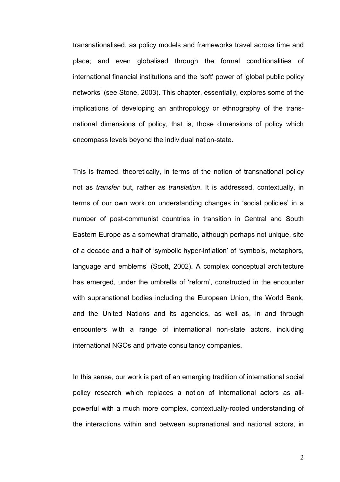transnationalised, as policy models and frameworks travel across time and place; and even globalised through the formal conditionalities of international financial institutions and the 'soft' power of 'global public policy networks' (see Stone, 2003). This chapter, essentially, explores some of the implications of developing an anthropology or ethnography of the transnational dimensions of policy, that is, those dimensions of policy which encompass levels beyond the individual nation-state.

This is framed, theoretically, in terms of the notion of transnational policy not as transfer but, rather as translation. It is addressed, contextually, in terms of our own work on understanding changes in 'social policies' in a number of post-communist countries in transition in Central and South Eastern Europe as a somewhat dramatic, although perhaps not unique, site of a decade and a half of 'symbolic hyper-inflation' of 'symbols, metaphors, language and emblems' (Scott, 2002). A complex conceptual architecture has emerged, under the umbrella of 'reform', constructed in the encounter with supranational bodies including the European Union, the World Bank, and the United Nations and its agencies, as well as, in and through encounters with a range of international non-state actors, including international NGOs and private consultancy companies.

In this sense, our work is part of an emerging tradition of international social policy research which replaces a notion of international actors as allpowerful with a much more complex, contextually-rooted understanding of the interactions within and between supranational and national actors, in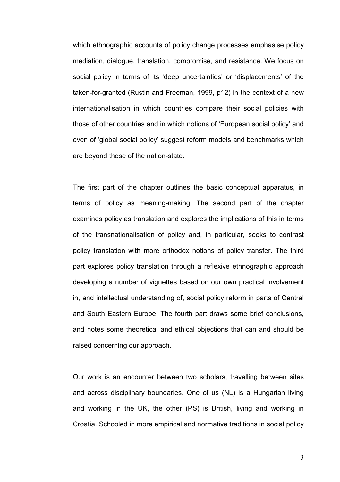which ethnographic accounts of policy change processes emphasise policy mediation, dialogue, translation, compromise, and resistance. We focus on social policy in terms of its 'deep uncertainties' or 'displacements' of the taken-for-granted (Rustin and Freeman, 1999, p12) in the context of a new internationalisation in which countries compare their social policies with those of other countries and in which notions of 'European social policy' and even of 'global social policy' suggest reform models and benchmarks which are beyond those of the nation-state.

The first part of the chapter outlines the basic conceptual apparatus, in terms of policy as meaning-making. The second part of the chapter examines policy as translation and explores the implications of this in terms of the transnationalisation of policy and, in particular, seeks to contrast policy translation with more orthodox notions of policy transfer. The third part explores policy translation through a reflexive ethnographic approach developing a number of vignettes based on our own practical involvement in, and intellectual understanding of, social policy reform in parts of Central and South Eastern Europe. The fourth part draws some brief conclusions, and notes some theoretical and ethical objections that can and should be raised concerning our approach.

Our work is an encounter between two scholars, travelling between sites and across disciplinary boundaries. One of us (NL) is a Hungarian living and working in the UK, the other (PS) is British, living and working in Croatia. Schooled in more empirical and normative traditions in social policy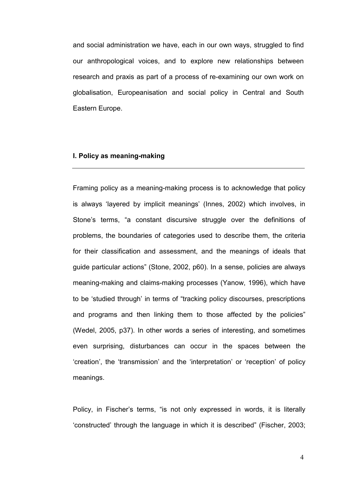and social administration we have, each in our own ways, struggled to find our anthropological voices, and to explore new relationships between research and praxis as part of a process of re-examining our own work on globalisation, Europeanisation and social policy in Central and South Eastern Europe.

### I. Policy as meaning-making

Framing policy as a meaning-making process is to acknowledge that policy is always 'layered by implicit meanings' (Innes, 2002) which involves, in Stone's terms, "a constant discursive struggle over the definitions of problems, the boundaries of categories used to describe them, the criteria for their classification and assessment, and the meanings of ideals that guide particular actions" (Stone, 2002, p60). In a sense, policies are always meaning-making and claims-making processes (Yanow, 1996), which have to be 'studied through' in terms of "tracking policy discourses, prescriptions and programs and then linking them to those affected by the policies" (Wedel, 2005, p37). In other words a series of interesting, and sometimes even surprising, disturbances can occur in the spaces between the 'creation', the 'transmission' and the 'interpretation' or 'reception' of policy meanings.

Policy, in Fischer's terms, "is not only expressed in words, it is literally 'constructed' through the language in which it is described" (Fischer, 2003;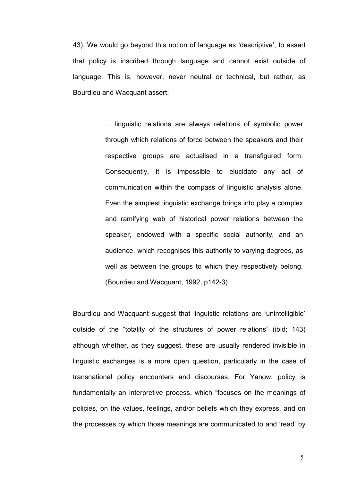43). We would go beyond this notion of language as 'descriptive', to assert that policy is inscribed through language and cannot exist outside of language. This is, however, never neutral or technical, but rather, as Bourdieu and Wacquant assert:

> ... linguistic relations are always relations of symbolic power through which relations of force between the speakers and their respective groups are actualised in a transfigured form. Consequently, it is impossible to elucidate any act of communication within the compass of linguistic analysis alone. Even the simplest linguistic exchange brings into play a complex and ramifying web of historical power relations between the speaker, endowed with a specific social authority, and an audience, which recognises this authority to varying degrees, as well as between the groups to which they respectively belong. (Bourdieu and Wacquant, 1992, p142-3)

Bourdieu and Wacquant suggest that linguistic relations are 'unintelligible' outside of the "totality of the structures of power relations" (ibid; 143) although whether, as they suggest, these are usually rendered invisible in linguistic exchanges is a more open question, particularly in the case of transnational policy encounters and discourses. For Yanow, policy is fundamentally an interpretive process, which "focuses on the meanings of policies, on the values, feelings, and/or beliefs which they express, and on the processes by which those meanings are communicated to and 'read' by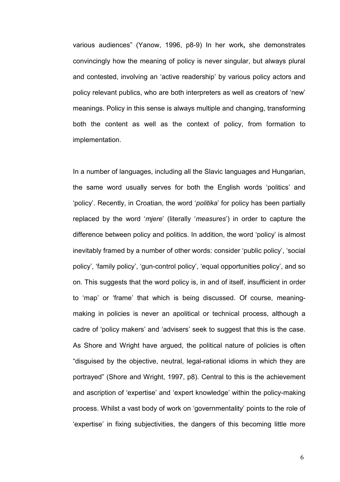various audiences" (Yanow, 1996, p8-9) In her work, she demonstrates convincingly how the meaning of policy is never singular, but always plural and contested, involving an 'active readership' by various policy actors and policy relevant publics, who are both interpreters as well as creators of 'new' meanings. Policy in this sense is always multiple and changing, transforming both the content as well as the context of policy, from formation to implementation.

In a number of languages, including all the Slavic languages and Hungarian, the same word usually serves for both the English words 'politics' and 'policy'. Recently, in Croatian, the word 'politika' for policy has been partially replaced by the word 'mjere' (literally 'measures') in order to capture the difference between policy and politics. In addition, the word 'policy' is almost inevitably framed by a number of other words: consider 'public policy', 'social policy', 'family policy', 'gun-control policy', 'equal opportunities policy', and so on. This suggests that the word policy is, in and of itself, insufficient in order to 'map' or 'frame' that which is being discussed. Of course, meaningmaking in policies is never an apolitical or technical process, although a cadre of 'policy makers' and 'advisers' seek to suggest that this is the case. As Shore and Wright have argued, the political nature of policies is often "disguised by the objective, neutral, legal-rational idioms in which they are portrayed" (Shore and Wright, 1997, p8). Central to this is the achievement and ascription of 'expertise' and 'expert knowledge' within the policy-making process. Whilst a vast body of work on 'governmentality' points to the role of 'expertise' in fixing subjectivities, the dangers of this becoming little more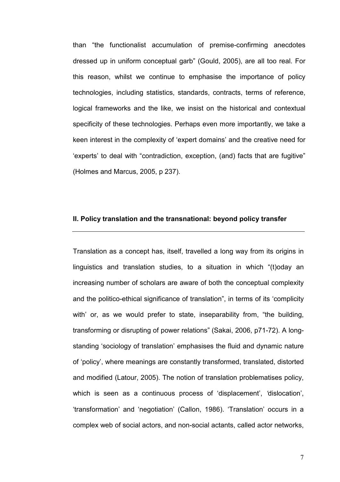than "the functionalist accumulation of premise-confirming anecdotes dressed up in uniform conceptual garb" (Gould, 2005), are all too real. For this reason, whilst we continue to emphasise the importance of policy technologies, including statistics, standards, contracts, terms of reference, logical frameworks and the like, we insist on the historical and contextual specificity of these technologies. Perhaps even more importantly, we take a keen interest in the complexity of 'expert domains' and the creative need for 'experts' to deal with "contradiction, exception, (and) facts that are fugitive" (Holmes and Marcus, 2005, p 237).

#### II. Policy translation and the transnational: beyond policy transfer

Translation as a concept has, itself, travelled a long way from its origins in linguistics and translation studies, to a situation in which "(t)oday an increasing number of scholars are aware of both the conceptual complexity and the politico-ethical significance of translation", in terms of its 'complicity with' or, as we would prefer to state, inseparability from, "the building, transforming or disrupting of power relations" (Sakai, 2006, p71-72). A longstanding 'sociology of translation' emphasises the fluid and dynamic nature of 'policy', where meanings are constantly transformed, translated, distorted and modified (Latour, 2005). The notion of translation problematises policy, which is seen as a continuous process of 'displacement', 'dislocation', 'transformation' and 'negotiation' (Callon, 1986). 'Translation' occurs in a complex web of social actors, and non-social actants, called actor networks,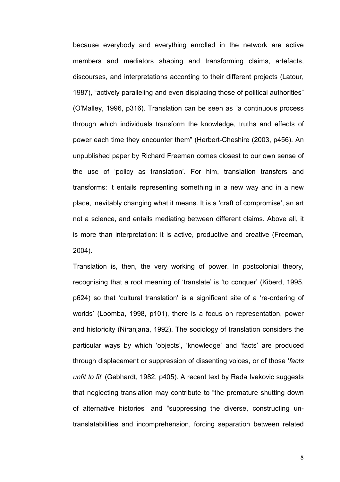because everybody and everything enrolled in the network are active members and mediators shaping and transforming claims, artefacts, discourses, and interpretations according to their different projects (Latour, 1987), "actively paralleling and even displacing those of political authorities" (O'Malley, 1996, p316). Translation can be seen as "a continuous process through which individuals transform the knowledge, truths and effects of power each time they encounter them" (Herbert-Cheshire (2003, p456). An unpublished paper by Richard Freeman comes closest to our own sense of the use of 'policy as translation'. For him, translation transfers and transforms: it entails representing something in a new way and in a new place, inevitably changing what it means. It is a 'craft of compromise', an art not a science, and entails mediating between different claims. Above all, it is more than interpretation: it is active, productive and creative (Freeman, 2004).

Translation is, then, the very working of power. In postcolonial theory, recognising that a root meaning of 'translate' is 'to conquer' (Kiberd, 1995, p624) so that 'cultural translation' is a significant site of a 're-ordering of worlds' (Loomba, 1998, p101), there is a focus on representation, power and historicity (Niranjana, 1992). The sociology of translation considers the particular ways by which 'objects', 'knowledge' and 'facts' are produced through displacement or suppression of dissenting voices, or of those 'facts unfit to fit' (Gebhardt, 1982, p405). A recent text by Rada Ivekovic suggests that neglecting translation may contribute to "the premature shutting down of alternative histories" and "suppressing the diverse, constructing untranslatabilities and incomprehension, forcing separation between related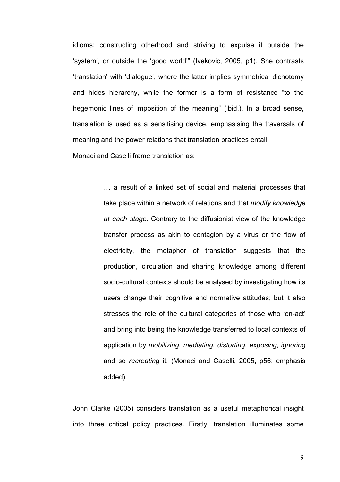idioms: constructing otherhood and striving to expulse it outside the 'system', or outside the 'good world'" (Ivekovic, 2005, p1). She contrasts 'translation' with 'dialogue', where the latter implies symmetrical dichotomy and hides hierarchy, while the former is a form of resistance "to the hegemonic lines of imposition of the meaning" (ibid.). In a broad sense, translation is used as a sensitising device, emphasising the traversals of meaning and the power relations that translation practices entail. Monaci and Caselli frame translation as:

> … a result of a linked set of social and material processes that take place within a network of relations and that modify knowledge at each stage. Contrary to the diffusionist view of the knowledge transfer process as akin to contagion by a virus or the flow of electricity, the metaphor of translation suggests that the production, circulation and sharing knowledge among different socio-cultural contexts should be analysed by investigating how its users change their cognitive and normative attitudes; but it also stresses the role of the cultural categories of those who 'en-act' and bring into being the knowledge transferred to local contexts of application by mobilizing, mediating, distorting, exposing, ignoring and so recreating it. (Monaci and Caselli, 2005, p56; emphasis added).

John Clarke (2005) considers translation as a useful metaphorical insight into three critical policy practices. Firstly, translation illuminates some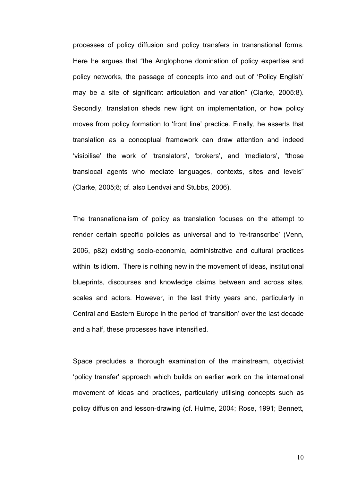processes of policy diffusion and policy transfers in transnational forms. Here he argues that "the Anglophone domination of policy expertise and policy networks, the passage of concepts into and out of 'Policy English' may be a site of significant articulation and variation" (Clarke, 2005:8). Secondly, translation sheds new light on implementation, or how policy moves from policy formation to 'front line' practice. Finally, he asserts that translation as a conceptual framework can draw attention and indeed 'visibilise' the work of 'translators', 'brokers', and 'mediators', "those translocal agents who mediate languages, contexts, sites and levels" (Clarke, 2005;8; cf. also Lendvai and Stubbs, 2006).

The transnationalism of policy as translation focuses on the attempt to render certain specific policies as universal and to 're-transcribe' (Venn, 2006, p82) existing socio-economic, administrative and cultural practices within its idiom. There is nothing new in the movement of ideas, institutional blueprints, discourses and knowledge claims between and across sites, scales and actors. However, in the last thirty years and, particularly in Central and Eastern Europe in the period of 'transition' over the last decade and a half, these processes have intensified.

Space precludes a thorough examination of the mainstream, objectivist 'policy transfer' approach which builds on earlier work on the international movement of ideas and practices, particularly utilising concepts such as policy diffusion and lesson-drawing (cf. Hulme, 2004; Rose, 1991; Bennett,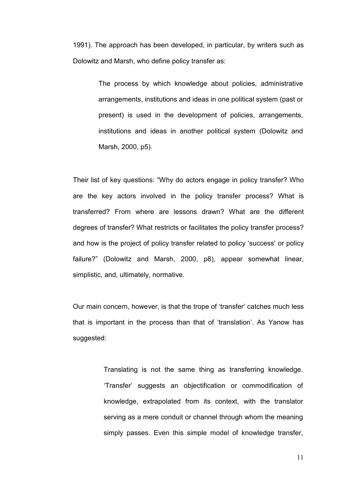1991). The approach has been developed, in particular, by writers such as Dolowitz and Marsh, who define policy transfer as:

> The process by which knowledge about policies, administrative arrangements, institutions and ideas in one political system (past or present) is used in the development of policies, arrangements, institutions and ideas in another political system (Dolowitz and Marsh, 2000, p5).

Their list of key questions: "Why do actors engage in policy transfer? Who are the key actors involved in the policy transfer process? What is transferred? From where are lessons drawn? What are the different degrees of transfer? What restricts or facilitates the policy transfer process? and how is the project of policy transfer related to policy 'success' or policy failure?" (Dolowitz and Marsh, 2000, p8), appear somewhat linear, simplistic, and, ultimately, normative.

Our main concern, however, is that the trope of 'transfer' catches much less that is important in the process than that of 'translation'. As Yanow has suggested:

> Translating is not the same thing as transferring knowledge. 'Transfer' suggests an objectification or commodification of knowledge, extrapolated from its context, with the translator serving as a mere conduit or channel through whom the meaning simply passes. Even this simple model of knowledge transfer,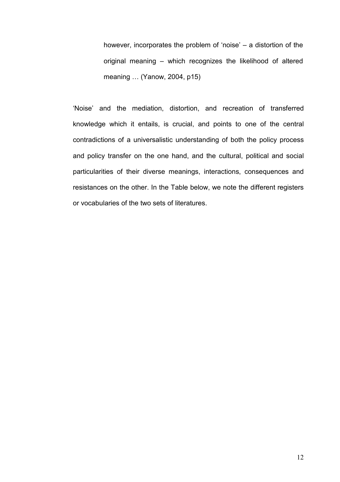however, incorporates the problem of 'noise' – a distortion of the original meaning – which recognizes the likelihood of altered meaning … (Yanow, 2004, p15)

'Noise' and the mediation, distortion, and recreation of transferred knowledge which it entails, is crucial, and points to one of the central contradictions of a universalistic understanding of both the policy process and policy transfer on the one hand, and the cultural, political and social particularities of their diverse meanings, interactions, consequences and resistances on the other. In the Table below, we note the different registers or vocabularies of the two sets of literatures.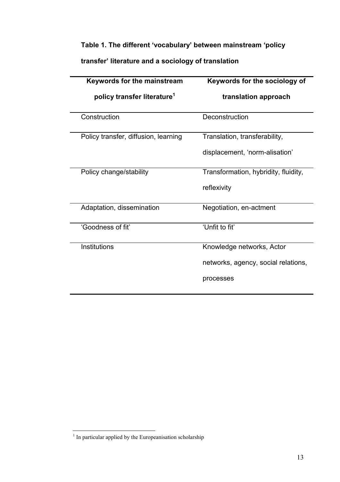## Table 1. The different 'vocabulary' between mainstream 'policy

transfer' literature and a sociology of translation

| <b>Keywords for the mainstream</b>      | Keywords for the sociology of        |
|-----------------------------------------|--------------------------------------|
| policy transfer literature <sup>1</sup> | translation approach                 |
| Construction                            | Deconstruction                       |
| Policy transfer, diffusion, learning    | Translation, transferability,        |
|                                         | displacement, 'norm-alisation'       |
| Policy change/stability                 | Transformation, hybridity, fluidity, |
|                                         | reflexivity                          |
| Adaptation, dissemination               | Negotiation, en-actment              |
| 'Goodness of fit'                       | 'Unfit to fit'                       |
| Institutions                            | Knowledge networks, Actor            |
|                                         | networks, agency, social relations,  |
|                                         | processes                            |

<sup>&</sup>lt;sup>1</sup> In particular applied by the Europeanisation scholarship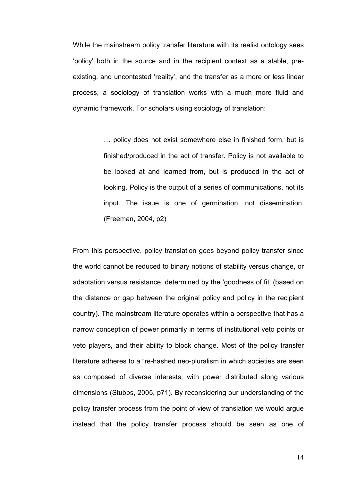While the mainstream policy transfer literature with its realist ontology sees 'policy' both in the source and in the recipient context as a stable, preexisting, and uncontested 'reality', and the transfer as a more or less linear process, a sociology of translation works with a much more fluid and dynamic framework. For scholars using sociology of translation:

> … policy does not exist somewhere else in finished form, but is finished/produced in the act of transfer. Policy is not available to be looked at and learned from, but is produced in the act of looking. Policy is the output of a series of communications, not its input. The issue is one of germination, not dissemination. (Freeman, 2004, p2)

From this perspective, policy translation goes beyond policy transfer since the world cannot be reduced to binary notions of stability versus change, or adaptation versus resistance, determined by the 'goodness of fit' (based on the distance or gap between the original policy and policy in the recipient country). The mainstream literature operates within a perspective that has a narrow conception of power primarily in terms of institutional veto points or veto players, and their ability to block change. Most of the policy transfer literature adheres to a "re-hashed neo-pluralism in which societies are seen as composed of diverse interests, with power distributed along various dimensions (Stubbs, 2005, p71). By reconsidering our understanding of the policy transfer process from the point of view of translation we would argue instead that the policy transfer process should be seen as one of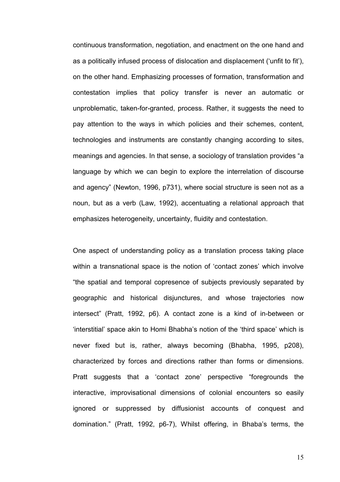continuous transformation, negotiation, and enactment on the one hand and as a politically infused process of dislocation and displacement ('unfit to fit'), on the other hand. Emphasizing processes of formation, transformation and contestation implies that policy transfer is never an automatic or unproblematic, taken-for-granted, process. Rather, it suggests the need to pay attention to the ways in which policies and their schemes, content, technologies and instruments are constantly changing according to sites, meanings and agencies. In that sense, a sociology of translation provides "a language by which we can begin to explore the interrelation of discourse and agency" (Newton, 1996, p731), where social structure is seen not as a noun, but as a verb (Law, 1992), accentuating a relational approach that emphasizes heterogeneity, uncertainty, fluidity and contestation.

One aspect of understanding policy as a translation process taking place within a transnational space is the notion of 'contact zones' which involve "the spatial and temporal copresence of subjects previously separated by geographic and historical disjunctures, and whose trajectories now intersect" (Pratt, 1992, p6). A contact zone is a kind of in-between or 'interstitial' space akin to Homi Bhabha's notion of the 'third space' which is never fixed but is, rather, always becoming (Bhabha, 1995, p208), characterized by forces and directions rather than forms or dimensions. Pratt suggests that a 'contact zone' perspective "foregrounds the interactive, improvisational dimensions of colonial encounters so easily ignored or suppressed by diffusionist accounts of conquest and domination." (Pratt, 1992, p6-7), Whilst offering, in Bhaba's terms, the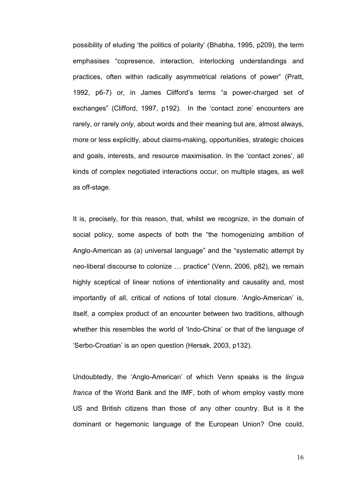possibility of eluding 'the politics of polarity' (Bhabha, 1995, p209), the term emphasises "copresence, interaction, interlocking understandings and practices, often within radically asymmetrical relations of power" (Pratt, 1992, p6-7) or, in James Clifford's terms "a power-charged set of exchanges" (Clifford, 1997, p192). In the 'contact zone' encounters are rarely, or rarely only, about words and their meaning but are, almost always, more or less explicitly, about claims-making, opportunities, strategic choices and goals, interests, and resource maximisation. In the 'contact zones', all kinds of complex negotiated interactions occur, on multiple stages, as well as off-stage.

It is, precisely, for this reason, that, whilst we recognize, in the domain of social policy, some aspects of both the "the homogenizing ambition of Anglo-American as (a) universal language" and the "systematic attempt by neo-liberal discourse to colonize … practice" (Venn, 2006, p82), we remain highly sceptical of linear notions of intentionality and causality and, most importantly of all, critical of notions of total closure. 'Anglo-American' is, itself, a complex product of an encounter between two traditions, although whether this resembles the world of 'Indo-China' or that of the language of 'Serbo-Croatian' is an open question (Hersak, 2003, p132).

Undoubtedly, the 'Anglo-American' of which Venn speaks is the lingua franca of the World Bank and the IMF, both of whom employ vastly more US and British citizens than those of any other country. But is it the dominant or hegemonic language of the European Union? One could,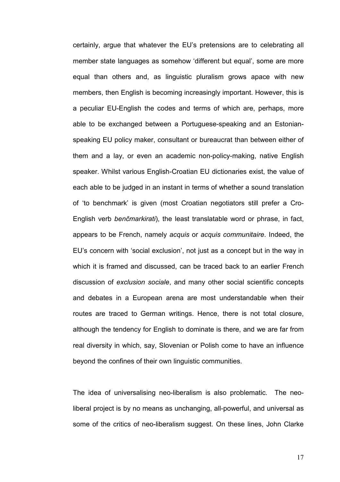certainly, argue that whatever the EU's pretensions are to celebrating all member state languages as somehow 'different but equal', some are more equal than others and, as linguistic pluralism grows apace with new members, then English is becoming increasingly important. However, this is a peculiar EU-English the codes and terms of which are, perhaps, more able to be exchanged between a Portuguese-speaking and an Estonianspeaking EU policy maker, consultant or bureaucrat than between either of them and a lay, or even an academic non-policy-making, native English speaker. Whilst various English-Croatian EU dictionaries exist, the value of each able to be judged in an instant in terms of whether a sound translation of 'to benchmark' is given (most Croatian negotiators still prefer a Cro-English verb benčmarkirati), the least translatable word or phrase, in fact, appears to be French, namely acquis or acquis communitaire. Indeed, the EU's concern with 'social exclusion', not just as a concept but in the way in which it is framed and discussed, can be traced back to an earlier French discussion of exclusion sociale, and many other social scientific concepts and debates in a European arena are most understandable when their routes are traced to German writings. Hence, there is not total closure, although the tendency for English to dominate is there, and we are far from real diversity in which, say, Slovenian or Polish come to have an influence beyond the confines of their own linguistic communities.

The idea of universalising neo-liberalism is also problematic. The neoliberal project is by no means as unchanging, all-powerful, and universal as some of the critics of neo-liberalism suggest. On these lines, John Clarke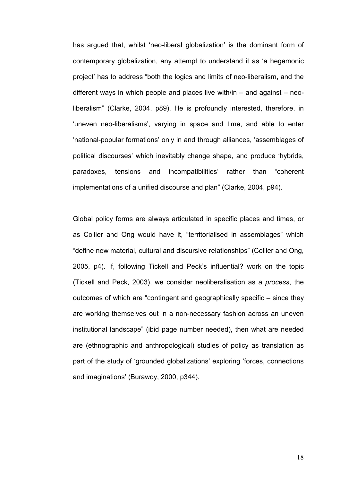has argued that, whilst 'neo-liberal globalization' is the dominant form of contemporary globalization, any attempt to understand it as 'a hegemonic project' has to address "both the logics and limits of neo-liberalism, and the different ways in which people and places live with/in – and against – neoliberalism" (Clarke, 2004, p89). He is profoundly interested, therefore, in 'uneven neo-liberalisms', varying in space and time, and able to enter 'national-popular formations' only in and through alliances, 'assemblages of political discourses' which inevitably change shape, and produce 'hybrids, paradoxes, tensions and incompatibilities' rather than "coherent implementations of a unified discourse and plan" (Clarke, 2004, p94).

Global policy forms are always articulated in specific places and times, or as Collier and Ong would have it, "territorialised in assemblages" which "define new material, cultural and discursive relationships" (Collier and Ong, 2005, p4). If, following Tickell and Peck's influential? work on the topic (Tickell and Peck, 2003), we consider neoliberalisation as a process, the outcomes of which are "contingent and geographically specific – since they are working themselves out in a non-necessary fashion across an uneven institutional landscape" (ibid page number needed), then what are needed are (ethnographic and anthropological) studies of policy as translation as part of the study of 'grounded globalizations' exploring 'forces, connections and imaginations' (Burawoy, 2000, p344).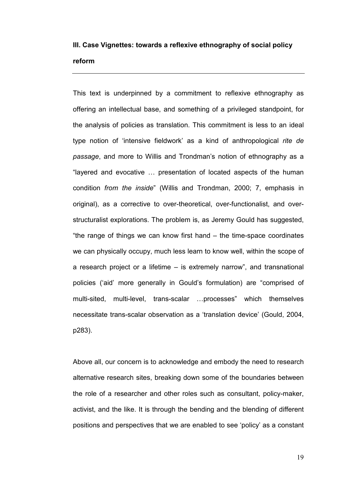# III. Case Vignettes: towards a reflexive ethnography of social policy reform

This text is underpinned by a commitment to reflexive ethnography as offering an intellectual base, and something of a privileged standpoint, for the analysis of policies as translation. This commitment is less to an ideal type notion of 'intensive fieldwork' as a kind of anthropological rite de passage, and more to Willis and Trondman's notion of ethnography as a "layered and evocative … presentation of located aspects of the human condition from the inside" (Willis and Trondman, 2000; 7, emphasis in original), as a corrective to over-theoretical, over-functionalist, and overstructuralist explorations. The problem is, as Jeremy Gould has suggested, "the range of things we can know first hand – the time-space coordinates we can physically occupy, much less learn to know well, within the scope of a research project or a lifetime – is extremely narrow", and transnational policies ('aid' more generally in Gould's formulation) are "comprised of multi-sited, multi-level, trans-scalar …processes" which themselves necessitate trans-scalar observation as a 'translation device' (Gould, 2004, p283).

Above all, our concern is to acknowledge and embody the need to research alternative research sites, breaking down some of the boundaries between the role of a researcher and other roles such as consultant, policy-maker, activist, and the like. It is through the bending and the blending of different positions and perspectives that we are enabled to see 'policy' as a constant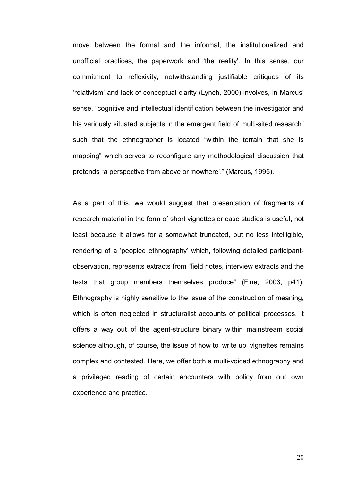move between the formal and the informal, the institutionalized and unofficial practices, the paperwork and 'the reality'. In this sense, our commitment to reflexivity, notwithstanding justifiable critiques of its 'relativism' and lack of conceptual clarity (Lynch, 2000) involves, in Marcus' sense, "cognitive and intellectual identification between the investigator and his variously situated subjects in the emergent field of multi-sited research" such that the ethnographer is located "within the terrain that she is mapping" which serves to reconfigure any methodological discussion that pretends "a perspective from above or 'nowhere'." (Marcus, 1995).

As a part of this, we would suggest that presentation of fragments of research material in the form of short vignettes or case studies is useful, not least because it allows for a somewhat truncated, but no less intelligible, rendering of a 'peopled ethnography' which, following detailed participantobservation, represents extracts from "field notes, interview extracts and the texts that group members themselves produce" (Fine, 2003, p41). Ethnography is highly sensitive to the issue of the construction of meaning, which is often neglected in structuralist accounts of political processes. It offers a way out of the agent-structure binary within mainstream social science although, of course, the issue of how to 'write up' vignettes remains complex and contested. Here, we offer both a multi-voiced ethnography and a privileged reading of certain encounters with policy from our own experience and practice.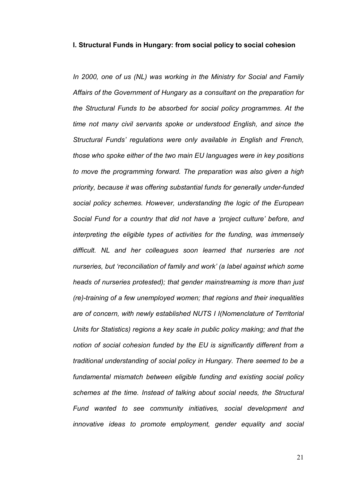#### I. Structural Funds in Hungary: from social policy to social cohesion

In 2000, one of us (NL) was working in the Ministry for Social and Family Affairs of the Government of Hungary as a consultant on the preparation for the Structural Funds to be absorbed for social policy programmes. At the time not many civil servants spoke or understood English, and since the Structural Funds' regulations were only available in English and French, those who spoke either of the two main EU languages were in key positions to move the programming forward. The preparation was also given a high priority, because it was offering substantial funds for generally under-funded social policy schemes. However, understanding the logic of the European Social Fund for a country that did not have a 'project culture' before, and interpreting the eligible types of activities for the funding, was immensely difficult. NL and her colleagues soon learned that nurseries are not nurseries, but 'reconciliation of family and work' (a label against which some heads of nurseries protested); that gender mainstreaming is more than just (re)-training of a few unemployed women; that regions and their inequalities are of concern, with newly established NUTS I I(Nomenclature of Territorial Units for Statistics) regions a key scale in public policy making; and that the notion of social cohesion funded by the EU is significantly different from a traditional understanding of social policy in Hungary. There seemed to be a fundamental mismatch between eligible funding and existing social policy schemes at the time. Instead of talking about social needs, the Structural Fund wanted to see community initiatives, social development and innovative ideas to promote employment, gender equality and social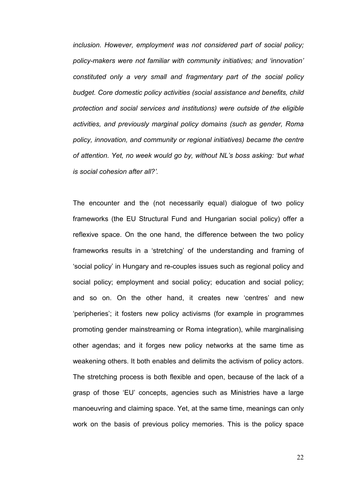inclusion. However, employment was not considered part of social policy; policy-makers were not familiar with community initiatives; and 'innovation' constituted only a very small and fragmentary part of the social policy budget. Core domestic policy activities (social assistance and benefits, child protection and social services and institutions) were outside of the eligible activities, and previously marginal policy domains (such as gender, Roma policy, innovation, and community or regional initiatives) became the centre of attention. Yet, no week would go by, without NL's boss asking: 'but what is social cohesion after all?'.

The encounter and the (not necessarily equal) dialogue of two policy frameworks (the EU Structural Fund and Hungarian social policy) offer a reflexive space. On the one hand, the difference between the two policy frameworks results in a 'stretching' of the understanding and framing of 'social policy' in Hungary and re-couples issues such as regional policy and social policy; employment and social policy; education and social policy; and so on. On the other hand, it creates new 'centres' and new 'peripheries'; it fosters new policy activisms (for example in programmes promoting gender mainstreaming or Roma integration), while marginalising other agendas; and it forges new policy networks at the same time as weakening others. It both enables and delimits the activism of policy actors. The stretching process is both flexible and open, because of the lack of a grasp of those 'EU' concepts, agencies such as Ministries have a large manoeuvring and claiming space. Yet, at the same time, meanings can only work on the basis of previous policy memories. This is the policy space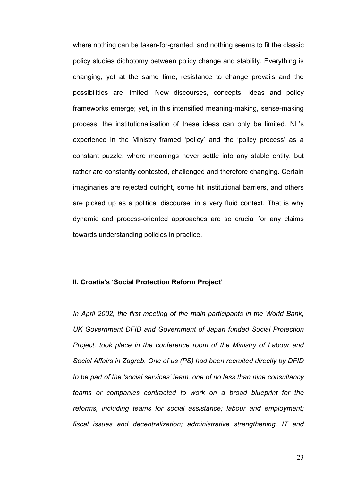where nothing can be taken-for-granted, and nothing seems to fit the classic policy studies dichotomy between policy change and stability. Everything is changing, yet at the same time, resistance to change prevails and the possibilities are limited. New discourses, concepts, ideas and policy frameworks emerge; yet, in this intensified meaning-making, sense-making process, the institutionalisation of these ideas can only be limited. NL's experience in the Ministry framed 'policy' and the 'policy process' as a constant puzzle, where meanings never settle into any stable entity, but rather are constantly contested, challenged and therefore changing. Certain imaginaries are rejected outright, some hit institutional barriers, and others are picked up as a political discourse, in a very fluid context. That is why dynamic and process-oriented approaches are so crucial for any claims towards understanding policies in practice.

### II. Croatia's 'Social Protection Reform Project'

In April 2002, the first meeting of the main participants in the World Bank, UK Government DFID and Government of Japan funded Social Protection Project, took place in the conference room of the Ministry of Labour and Social Affairs in Zagreb. One of us (PS) had been recruited directly by DFID to be part of the 'social services' team, one of no less than nine consultancy teams or companies contracted to work on a broad blueprint for the reforms, including teams for social assistance; labour and employment; fiscal issues and decentralization; administrative strengthening, IT and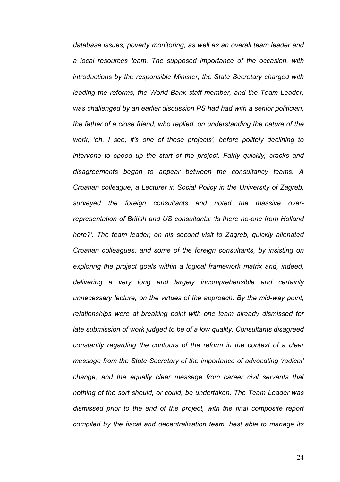database issues; poverty monitoring; as well as an overall team leader and a local resources team. The supposed importance of the occasion, with introductions by the responsible Minister, the State Secretary charged with leading the reforms, the World Bank staff member, and the Team Leader, was challenged by an earlier discussion PS had had with a senior politician, the father of a close friend, who replied, on understanding the nature of the work, 'oh, I see, it's one of those projects', before politely declining to intervene to speed up the start of the project. Fairly quickly, cracks and disagreements began to appear between the consultancy teams. A Croatian colleague, a Lecturer in Social Policy in the University of Zagreb, surveyed the foreign consultants and noted the massive overrepresentation of British and US consultants: 'Is there no-one from Holland here?'. The team leader, on his second visit to Zagreb, quickly alienated Croatian colleagues, and some of the foreign consultants, by insisting on exploring the project goals within a logical framework matrix and, indeed, delivering a very long and largely incomprehensible and certainly unnecessary lecture, on the virtues of the approach. By the mid-way point, relationships were at breaking point with one team already dismissed for late submission of work judged to be of a low quality. Consultants disagreed constantly regarding the contours of the reform in the context of a clear message from the State Secretary of the importance of advocating 'radical' change, and the equally clear message from career civil servants that nothing of the sort should, or could, be undertaken. The Team Leader was dismissed prior to the end of the project, with the final composite report compiled by the fiscal and decentralization team, best able to manage its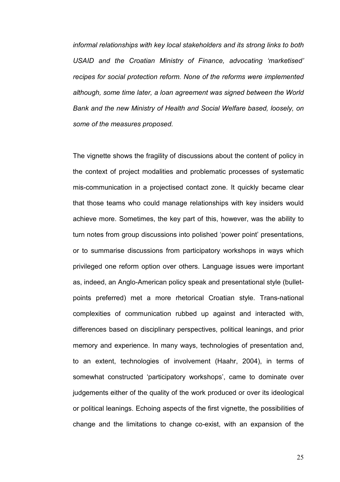informal relationships with key local stakeholders and its strong links to both USAID and the Croatian Ministry of Finance, advocating 'marketised' recipes for social protection reform. None of the reforms were implemented although, some time later, a loan agreement was signed between the World Bank and the new Ministry of Health and Social Welfare based, loosely, on some of the measures proposed.

The vignette shows the fragility of discussions about the content of policy in the context of project modalities and problematic processes of systematic mis-communication in a projectised contact zone. It quickly became clear that those teams who could manage relationships with key insiders would achieve more. Sometimes, the key part of this, however, was the ability to turn notes from group discussions into polished 'power point' presentations, or to summarise discussions from participatory workshops in ways which privileged one reform option over others. Language issues were important as, indeed, an Anglo-American policy speak and presentational style (bulletpoints preferred) met a more rhetorical Croatian style. Trans-national complexities of communication rubbed up against and interacted with, differences based on disciplinary perspectives, political leanings, and prior memory and experience. In many ways, technologies of presentation and, to an extent, technologies of involvement (Haahr, 2004), in terms of somewhat constructed 'participatory workshops', came to dominate over judgements either of the quality of the work produced or over its ideological or political leanings. Echoing aspects of the first vignette, the possibilities of change and the limitations to change co-exist, with an expansion of the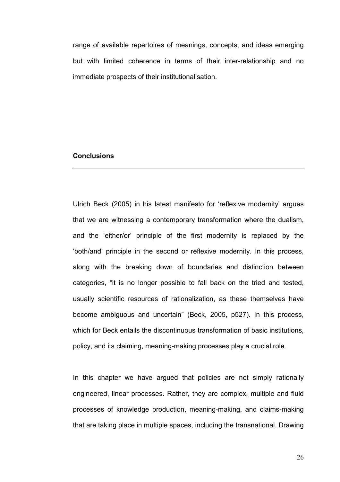range of available repertoires of meanings, concepts, and ideas emerging but with limited coherence in terms of their inter-relationship and no immediate prospects of their institutionalisation.

## **Conclusions**

Ulrich Beck (2005) in his latest manifesto for 'reflexive modernity' argues that we are witnessing a contemporary transformation where the dualism, and the 'either/or' principle of the first modernity is replaced by the 'both/and' principle in the second or reflexive modernity. In this process, along with the breaking down of boundaries and distinction between categories, "it is no longer possible to fall back on the tried and tested, usually scientific resources of rationalization, as these themselves have become ambiguous and uncertain" (Beck, 2005, p527). In this process, which for Beck entails the discontinuous transformation of basic institutions, policy, and its claiming, meaning-making processes play a crucial role.

In this chapter we have argued that policies are not simply rationally engineered, linear processes. Rather, they are complex, multiple and fluid processes of knowledge production, meaning-making, and claims-making that are taking place in multiple spaces, including the transnational. Drawing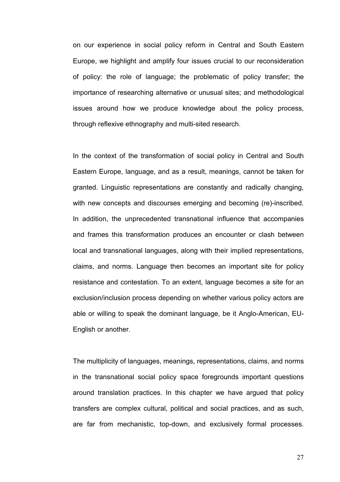on our experience in social policy reform in Central and South Eastern Europe, we highlight and amplify four issues crucial to our reconsideration of policy: the role of language; the problematic of policy transfer; the importance of researching alternative or unusual sites; and methodological issues around how we produce knowledge about the policy process, through reflexive ethnography and multi-sited research.

In the context of the transformation of social policy in Central and South Eastern Europe, language, and as a result, meanings, cannot be taken for granted. Linguistic representations are constantly and radically changing, with new concepts and discourses emerging and becoming (re)-inscribed. In addition, the unprecedented transnational influence that accompanies and frames this transformation produces an encounter or clash between local and transnational languages, along with their implied representations, claims, and norms. Language then becomes an important site for policy resistance and contestation. To an extent, language becomes a site for an exclusion/inclusion process depending on whether various policy actors are able or willing to speak the dominant language, be it Anglo-American, EU-English or another.

The multiplicity of languages, meanings, representations, claims, and norms in the transnational social policy space foregrounds important questions around translation practices. In this chapter we have argued that policy transfers are complex cultural, political and social practices, and as such, are far from mechanistic, top-down, and exclusively formal processes.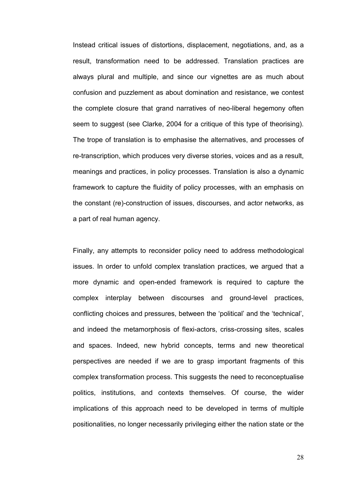Instead critical issues of distortions, displacement, negotiations, and, as a result, transformation need to be addressed. Translation practices are always plural and multiple, and since our vignettes are as much about confusion and puzzlement as about domination and resistance, we contest the complete closure that grand narratives of neo-liberal hegemony often seem to suggest (see Clarke, 2004 for a critique of this type of theorising). The trope of translation is to emphasise the alternatives, and processes of re-transcription, which produces very diverse stories, voices and as a result, meanings and practices, in policy processes. Translation is also a dynamic framework to capture the fluidity of policy processes, with an emphasis on the constant (re)-construction of issues, discourses, and actor networks, as a part of real human agency.

Finally, any attempts to reconsider policy need to address methodological issues. In order to unfold complex translation practices, we argued that a more dynamic and open-ended framework is required to capture the complex interplay between discourses and ground-level practices, conflicting choices and pressures, between the 'political' and the 'technical', and indeed the metamorphosis of flexi-actors, criss-crossing sites, scales and spaces. Indeed, new hybrid concepts, terms and new theoretical perspectives are needed if we are to grasp important fragments of this complex transformation process. This suggests the need to reconceptualise politics, institutions, and contexts themselves. Of course, the wider implications of this approach need to be developed in terms of multiple positionalities, no longer necessarily privileging either the nation state or the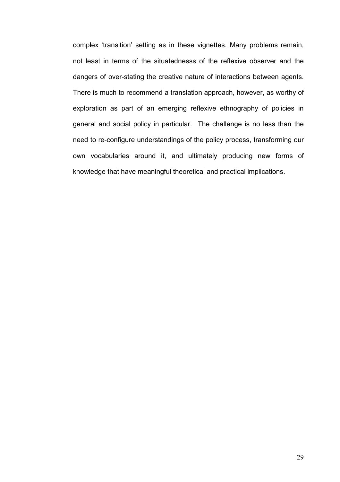complex 'transition' setting as in these vignettes. Many problems remain, not least in terms of the situatednesss of the reflexive observer and the dangers of over-stating the creative nature of interactions between agents. There is much to recommend a translation approach, however, as worthy of exploration as part of an emerging reflexive ethnography of policies in general and social policy in particular. The challenge is no less than the need to re-configure understandings of the policy process, transforming our own vocabularies around it, and ultimately producing new forms of knowledge that have meaningful theoretical and practical implications.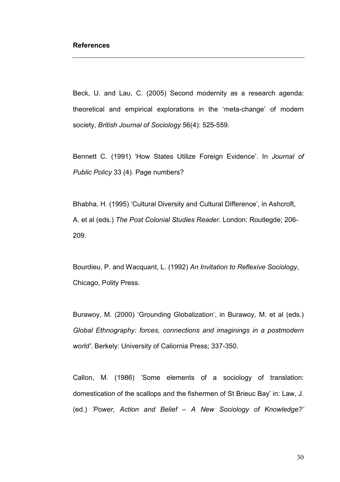Beck, U. and Lau, C. (2005) Second modernity as a research agenda: theoretical and empirical explorations in the 'meta-change' of modern society, British Journal of Sociology 56(4): 525-559.

Bennett C. (1991) 'How States Utilize Foreign Evidence'. In Journal of Public Policy 33 (4). Page numbers?

Bhabha, H. (1995) 'Cultural Diversity and Cultural Difference', in Ashcroft, A. et al (eds.) The Post Colonial Studies Reader. London: Routlegde; 206- 209.

Bourdieu, P. and Wacquant, L. (1992) An Invitation to Reflexive Sociology, Chicago, Polity Press.

Burawoy, M. (2000) 'Grounding Globalization', in Burawoy, M. et al (eds.) Global Ethnography: forces, connections and imaginings in a postmodern world'. Berkely: University of Caliornia Press; 337-350.

Callon, M. (1986) 'Some elements of a sociology of translation: domestication of the scallops and the fishermen of St Brieuc Bay' in: Law, J. (ed.) 'Power, Action and Belief – A New Sociology of Knowledge?'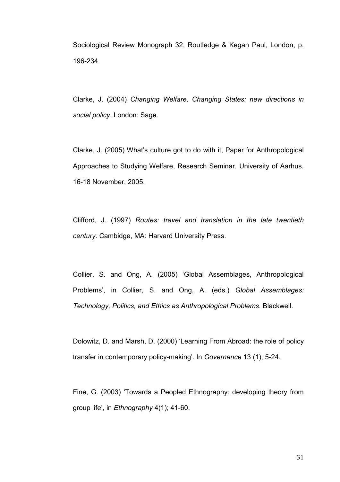Sociological Review Monograph 32, Routledge & Kegan Paul, London, p. 196-234.

Clarke, J. (2004) Changing Welfare, Changing States: new directions in social policy. London: Sage.

Clarke, J. (2005) What's culture got to do with it, Paper for Anthropological Approaches to Studying Welfare, Research Seminar, University of Aarhus, 16-18 November, 2005.

Clifford, J. (1997) Routes: travel and translation in the late twentieth century. Cambidge, MA: Harvard University Press.

Collier, S. and Ong, A. (2005) 'Global Assemblages, Anthropological Problems', in Collier, S. and Ong, A. (eds.) Global Assemblages: Technology, Politics, and Ethics as Anthropological Problems. Blackwell.

Dolowitz, D. and Marsh, D. (2000) 'Learning From Abroad: the role of policy transfer in contemporary policy-making'. In Governance 13 (1); 5-24.

Fine, G. (2003) 'Towards a Peopled Ethnography: developing theory from group life', in Ethnography 4(1); 41-60.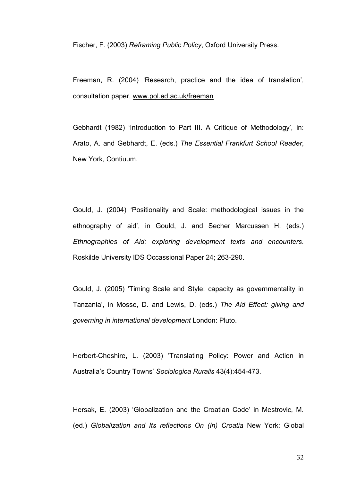Fischer, F. (2003) Reframing Public Policy, Oxford University Press.

Freeman, R. (2004) 'Research, practice and the idea of translation', consultation paper, www.pol.ed.ac.uk/freeman

Gebhardt (1982) 'Introduction to Part III. A Critique of Methodology', in: Arato, A. and Gebhardt, E. (eds.) The Essential Frankfurt School Reader, New York, Contiuum.

Gould, J. (2004) 'Positionality and Scale: methodological issues in the ethnography of aid', in Gould, J. and Secher Marcussen H. (eds.) Ethnographies of Aid: exploring development texts and encounters. Roskilde University IDS Occassional Paper 24; 263-290.

Gould, J. (2005) 'Timing Scale and Style: capacity as governmentality in Tanzania', in Mosse, D. and Lewis, D. (eds.) The Aid Effect: giving and governing in international development London: Pluto.

Herbert-Cheshire, L. (2003) 'Translating Policy: Power and Action in Australia's Country Towns' Sociologica Ruralis 43(4):454-473.

Hersak, E. (2003) 'Globalization and the Croatian Code' in Mestrovic, M. (ed.) Globalization and Its reflections On (In) Croatia New York: Global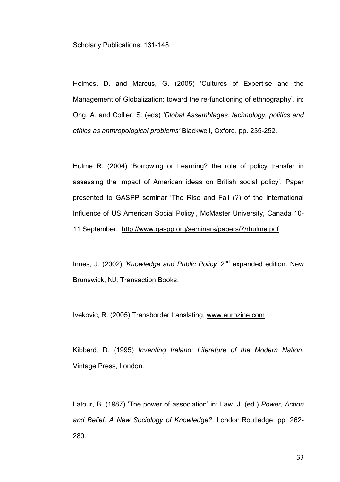Scholarly Publications; 131-148.

Holmes, D. and Marcus, G. (2005) 'Cultures of Expertise and the Management of Globalization: toward the re-functioning of ethnography', in: Ong, A. and Collier, S. (eds) 'Global Assemblages: technology, politics and ethics as anthropological problems' Blackwell, Oxford, pp. 235-252.

Hulme R. (2004) 'Borrowing or Learning? the role of policy transfer in assessing the impact of American ideas on British social policy'. Paper presented to GASPP seminar 'The Rise and Fall (?) of the International Influence of US American Social Policy', McMaster University, Canada 10- 11 September. http://www.gaspp.org/seminars/papers/7/rhulme.pdf

Innes, J. (2002) 'Knowledge and Public Policy' 2<sup>nd</sup> expanded edition. New Brunswick, NJ: Transaction Books.

Ivekovic, R. (2005) Transborder translating, www.eurozine.com

Kibberd, D. (1995) Inventing Ireland: Literature of the Modern Nation, Vintage Press, London.

Latour, B. (1987) 'The power of association' in: Law, J. (ed.) Power, Action and Belief: A New Sociology of Knowledge?, London:Routledge. pp. 262- 280.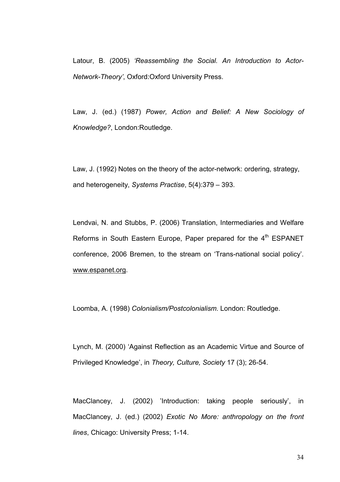Latour, B. (2005) 'Reassembling the Social. An Introduction to Actor-Network-Theory', Oxford:Oxford University Press.

Law, J. (ed.) (1987) Power, Action and Belief: A New Sociology of Knowledge?, London:Routledge.

Law, J. (1992) Notes on the theory of the actor-network: ordering, strategy, and heterogeneity, Systems Practise, 5(4):379 – 393.

Lendvai, N. and Stubbs, P. (2006) Translation, Intermediaries and Welfare Reforms in South Eastern Europe, Paper prepared for the  $4<sup>th</sup>$  ESPANET conference, 2006 Bremen, to the stream on 'Trans-national social policy'. www.espanet.org.

Loomba, A. (1998) Colonialism/Postcolonialism. London: Routledge.

Lynch, M. (2000) 'Against Reflection as an Academic Virtue and Source of Privileged Knowledge', in Theory, Culture, Society 17 (3); 26-54.

MacClancey, J. (2002) 'Introduction: taking people seriously', in MacClancey, J. (ed.) (2002) Exotic No More: anthropology on the front lines, Chicago: University Press; 1-14.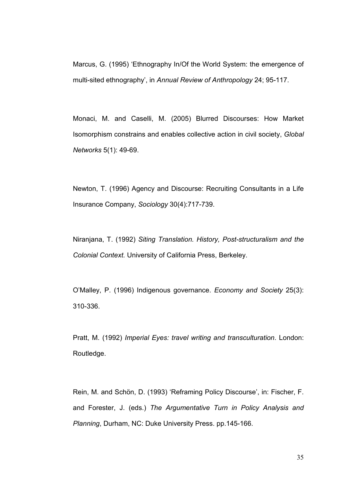Marcus, G. (1995) 'Ethnography In/Of the World System: the emergence of multi-sited ethnography', in Annual Review of Anthropology 24; 95-117.

Monaci, M. and Caselli, M. (2005) Blurred Discourses: How Market Isomorphism constrains and enables collective action in civil society, Global Networks 5(1): 49-69.

Newton, T. (1996) Agency and Discourse: Recruiting Consultants in a Life Insurance Company, Sociology 30(4):717-739.

Niranjana, T. (1992) Siting Translation. History, Post-structuralism and the Colonial Context. University of California Press, Berkeley.

O'Malley, P. (1996) Indigenous governance. Economy and Society 25(3): 310-336.

Pratt, M. (1992) Imperial Eyes: travel writing and transculturation. London: Routledge.

Rein, M. and Schön, D. (1993) 'Reframing Policy Discourse', in: Fischer, F. and Forester, J. (eds.) The Argumentative Turn in Policy Analysis and Planning, Durham, NC: Duke University Press. pp.145-166.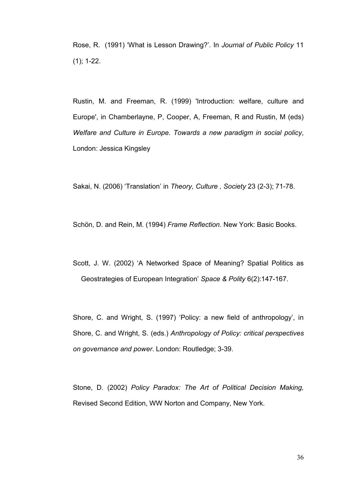Rose, R. (1991) 'What is Lesson Drawing?'. In Journal of Public Policy 11 (1); 1-22.

Rustin, M. and Freeman, R. (1999) 'Introduction: welfare, culture and Europe', in Chamberlayne, P, Cooper, A, Freeman, R and Rustin, M (eds) Welfare and Culture in Europe. Towards a new paradigm in social policy, London: Jessica Kingsley

Sakai, N. (2006) 'Translation' in Theory, Culture , Society 23 (2-3); 71-78.

Schön, D. and Rein, M. (1994) Frame Reflection. New York: Basic Books.

Scott, J. W. (2002) 'A Networked Space of Meaning? Spatial Politics as Geostrategies of European Integration' Space & Polity 6(2):147-167.

Shore, C. and Wright, S. (1997) 'Policy: a new field of anthropology', in Shore, C. and Wright, S. (eds.) Anthropology of Policy: critical perspectives on governance and power. London: Routledge; 3-39.

Stone, D. (2002) Policy Paradox: The Art of Political Decision Making, Revised Second Edition, WW Norton and Company, New York.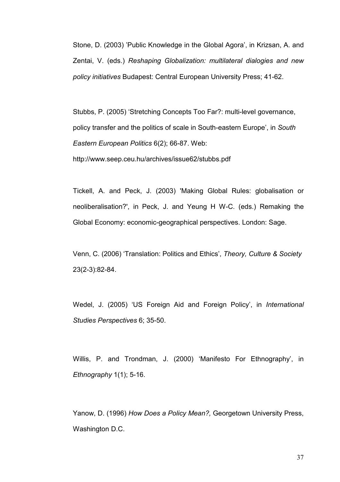Stone, D. (2003) 'Public Knowledge in the Global Agora', in Krizsan, A. and Zentai, V. (eds.) Reshaping Globalization: multilateral dialogies and new policy initiatives Budapest: Central European University Press; 41-62.

Stubbs, P. (2005) 'Stretching Concepts Too Far?: multi-level governance, policy transfer and the politics of scale in South-eastern Europe', in South Eastern European Politics 6(2); 66-87. Web: http://www.seep.ceu.hu/archives/issue62/stubbs.pdf

Tickell, A. and Peck, J. (2003) 'Making Global Rules: globalisation or neoliberalisation?', in Peck, J. and Yeung H W-C. (eds.) Remaking the Global Economy: economic-geographical perspectives. London: Sage.

Venn, C. (2006) 'Translation: Politics and Ethics', Theory, Culture & Society 23(2-3):82-84.

Wedel, J. (2005) 'US Foreign Aid and Foreign Policy', in International Studies Perspectives 6; 35-50.

Willis, P. and Trondman, J. (2000) 'Manifesto For Ethnography', in Ethnography 1(1); 5-16.

Yanow, D. (1996) How Does a Policy Mean?, Georgetown University Press, Washington D.C.